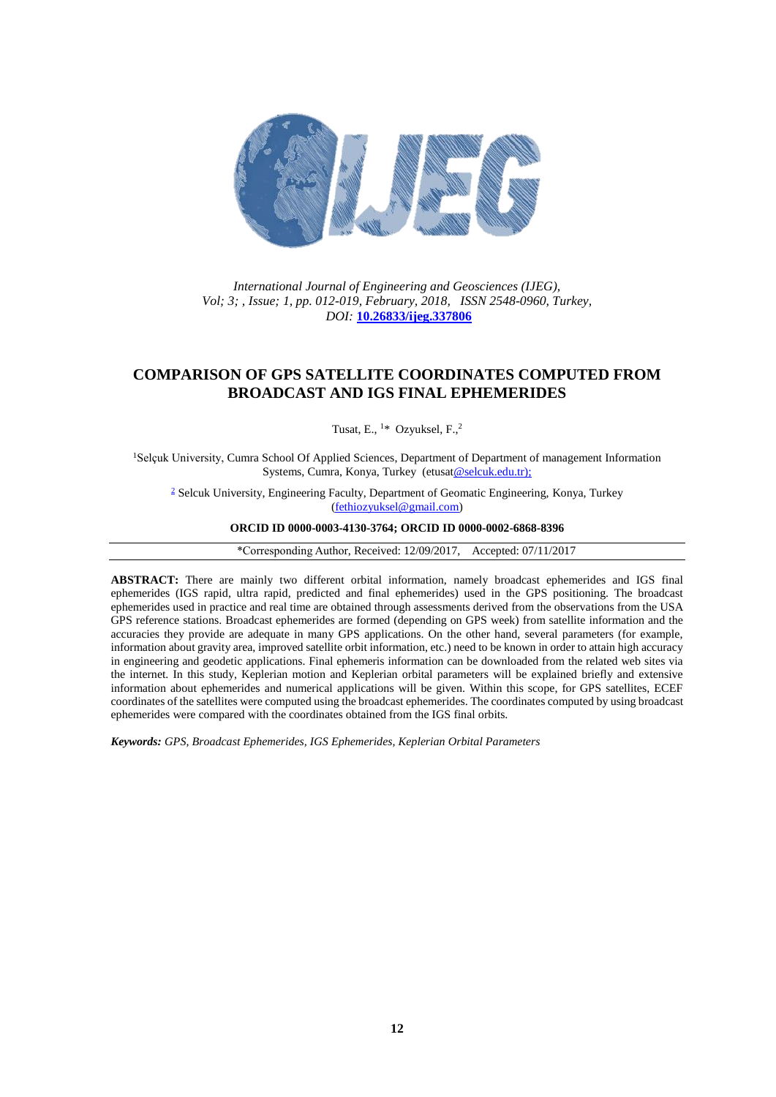

*International Journal of Engineering and Geosciences (IJEG), Vol; 3; , Issue; 1, pp. 012-019, February, 2018, ISSN 2548-0960, Turkey, DOI:* **[10.26833/ijeg.337806](http://dx.doi.org/10.26833/ijeg.337806)**

## **COMPARISON OF GPS SATELLITE COORDINATES COMPUTED FROM BROADCAST AND IGS FINAL EPHEMERIDES**

Tusat, E.,  $1*$  Ozyuksel, F., $2*$ 

<sup>1</sup>Selçuk University, Cumra School Of Applied Sciences, Department of Department of management Information Systems, Cumra, Konya, Turkey (etusa[t@selcuk.edu.tr\);](mailto:etusat@selcuk.edu.tr)

[2](mailto:etusat@selcuk.edu.tr) Selcuk University, Engineering Faculty, Department of Geomatic Engineering, Konya, Turkey [\(fethiozyuksel@gmail.com\)](mailto:fethiozyuksel@gmail.com)

### **ORCID ID 0000-0003-4130-3764; ORCID ID 0000-0002-6868-8396**

\*Corresponding Author, Received: 12/09/2017, Accepted: 07/11/2017

**ABSTRACT:** There are mainly two different orbital information, namely broadcast ephemerides and IGS final ephemerides (IGS rapid, ultra rapid, predicted and final ephemerides) used in the GPS positioning. The broadcast ephemerides used in practice and real time are obtained through assessments derived from the observations from the USA GPS reference stations. Broadcast ephemerides are formed (depending on GPS week) from satellite information and the accuracies they provide are adequate in many GPS applications. On the other hand, several parameters (for example, information about gravity area, improved satellite orbit information, etc.) need to be known in order to attain high accuracy in engineering and geodetic applications. Final ephemeris information can be downloaded from the related web sites via the internet. In this study, Keplerian motion and Keplerian orbital parameters will be explained briefly and extensive information about ephemerides and numerical applications will be given. Within this scope, for GPS satellites, ECEF coordinates of the satellites were computed using the broadcast ephemerides. The coordinates computed by using broadcast ephemerides were compared with the coordinates obtained from the IGS final orbits.

*Keywords: GPS, Broadcast Ephemerides, IGS Ephemerides, Keplerian Orbital Parameters*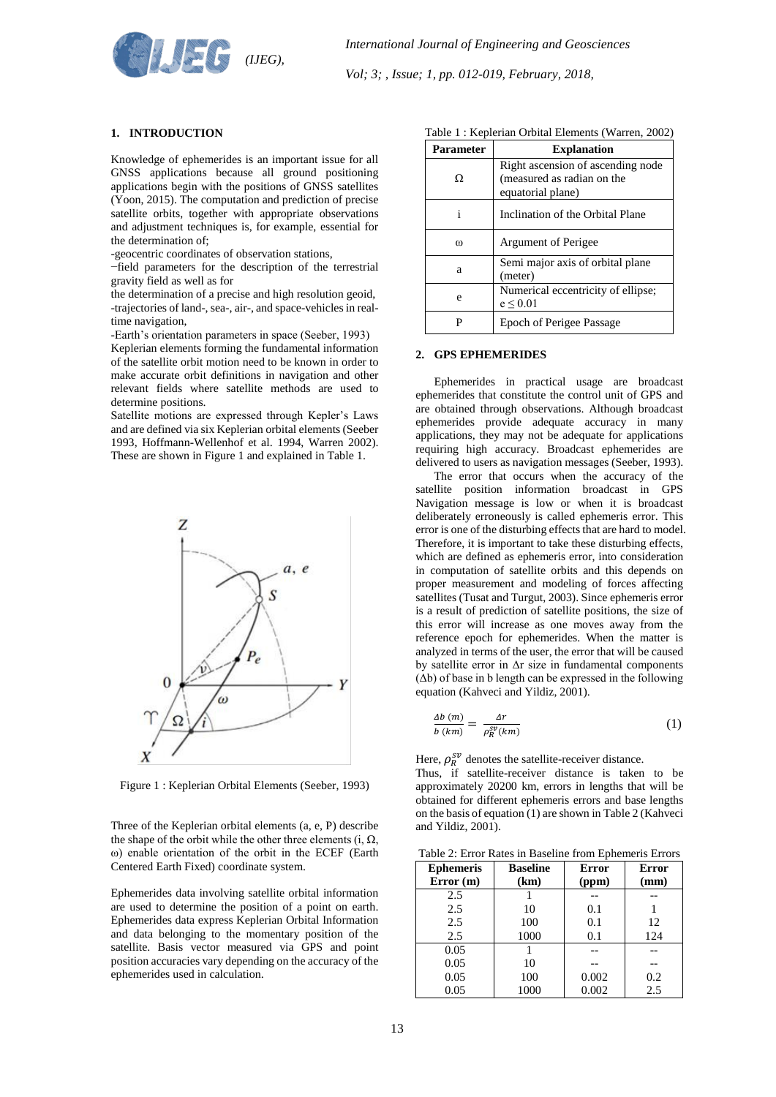

### **1. INTRODUCTION**

Knowledge of ephemerides is an important issue for all GNSS applications because all ground positioning applications begin with the positions of GNSS satellites (Yoon, 2015). The computation and prediction of precise satellite orbits, together with appropriate observations and adjustment techniques is, for example, essential for the determination of;

-geocentric coordinates of observation stations,

−field parameters for the description of the terrestrial gravity field as well as for

the determination of a precise and high resolution geoid, -trajectories of land-, sea-, air-, and space-vehicles in realtime navigation,

-Earth's orientation parameters in space (Seeber, 1993)

Keplerian elements forming the fundamental information of the satellite orbit motion need to be known in order to make accurate orbit definitions in navigation and other relevant fields where satellite methods are used to determine positions.

Satellite motions are expressed through Kepler's Laws and are defined via six Keplerian orbital elements (Seeber 1993, Hoffmann-Wellenhof et al. 1994, Warren 2002). These are shown in Figure 1 and explained in Table 1.



Figure 1 : Keplerian Orbital Elements (Seeber, 1993)

Three of the Keplerian orbital elements (a, e, P) describe the shape of the orbit while the other three elements  $(i, \Omega)$ , ω) enable orientation of the orbit in the ECEF (Earth Centered Earth Fixed) coordinate system.

Ephemerides data involving satellite orbital information are used to determine the position of a point on earth. Ephemerides data express Keplerian Orbital Information and data belonging to the momentary position of the satellite. Basis vector measured via GPS and point position accuracies vary depending on the accuracy of the ephemerides used in calculation.

| Parameter | <b>Explanation</b>                                                                   |
|-----------|--------------------------------------------------------------------------------------|
| Ω         | Right ascension of ascending node<br>(measured as radian on the<br>equatorial plane) |
| 1         | Inclination of the Orbital Plane                                                     |
| ω         | Argument of Perigee                                                                  |
| a         | Semi major axis of orbital plane<br>(meter)                                          |
| e         | Numerical eccentricity of ellipse;<br>$e \leq 0.01$                                  |
| р         | <b>Epoch of Perigee Passage</b>                                                      |

### **2. GPS EPHEMERIDES**

Ephemerides in practical usage are broadcast ephemerides that constitute the control unit of GPS and are obtained through observations. Although broadcast ephemerides provide adequate accuracy in many applications, they may not be adequate for applications requiring high accuracy. Broadcast ephemerides are delivered to users as navigation messages (Seeber, 1993).

The error that occurs when the accuracy of the satellite position information broadcast in GPS Navigation message is low or when it is broadcast deliberately erroneously is called ephemeris error. This error is one of the disturbing effects that are hard to model. Therefore, it is important to take these disturbing effects, which are defined as ephemeris error, into consideration in computation of satellite orbits and this depends on proper measurement and modeling of forces affecting satellites (Tusat and Turgut, 2003). Since ephemeris error is a result of prediction of satellite positions, the size of this error will increase as one moves away from the reference epoch for ephemerides. When the matter is analyzed in terms of the user, the error that will be caused by satellite error in  $\Delta r$  size in fundamental components  $(\Delta b)$  of base in b length can be expressed in the following equation (Kahveci and Yildiz, 2001).

$$
\frac{\Delta b (m)}{b (km)} = \frac{\Delta r}{\rho_R^{SV}(km)}\tag{1}
$$

Here,  $\rho_R^{sv}$  denotes the satellite-receiver distance.

Thus, if satellite-receiver distance is taken to be approximately 20200 km, errors in lengths that will be obtained for different ephemeris errors and base lengths on the basis of equation (1) are shown in Table 2 (Kahveci and Yildiz, 2001).

| <b>Ephemeris</b><br>Error(m) | <b>Baseline</b><br>(km) | Error<br>(ppm) | Error<br>(mm) |
|------------------------------|-------------------------|----------------|---------------|
| 2.5                          |                         |                |               |
| 2.5                          | 10                      | 0.1            |               |
| 2.5                          | 100                     | 0.1            | 12            |
| 2.5                          | 1000                    | 0.1            | 124           |
| 0.05                         |                         |                |               |
| 0.05                         | 10                      |                |               |
| 0.05                         | 100                     | 0.002          | 0.2           |
| 0.05                         | 1000                    | 0.002          | 2.5           |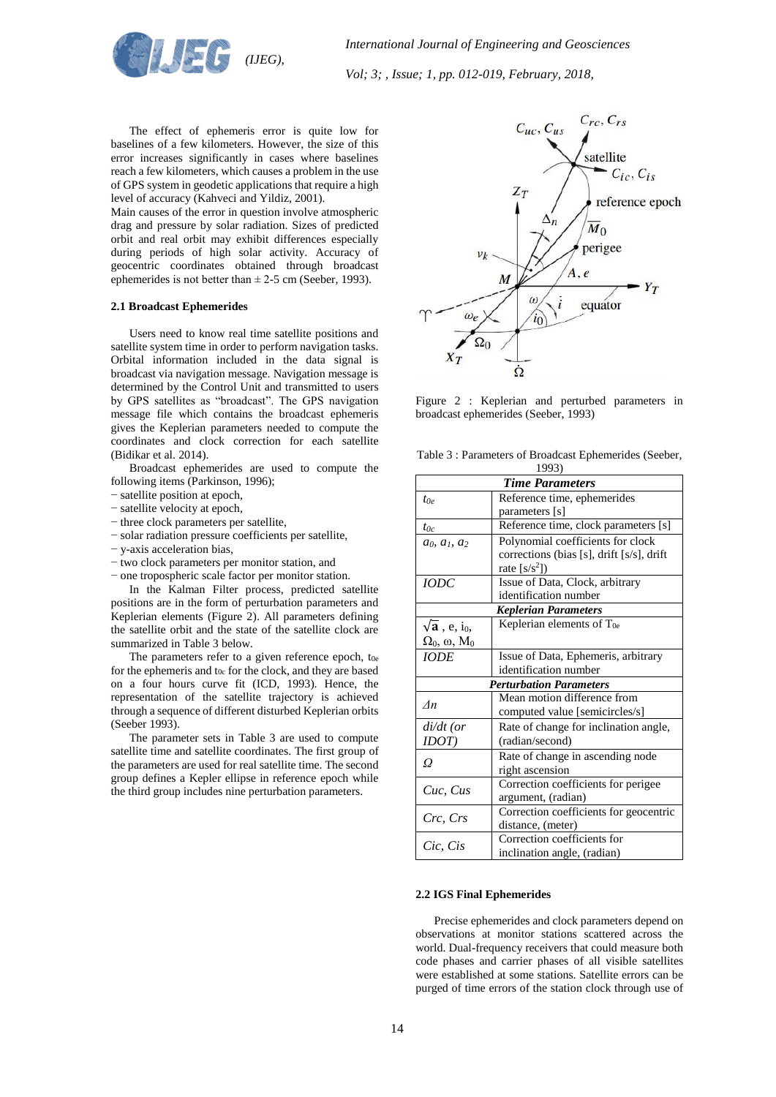

The effect of ephemeris error is quite low for baselines of a few kilometers. However, the size of this error increases significantly in cases where baselines reach a few kilometers, which causes a problem in the use of GPS system in geodetic applications that require a high level of accuracy (Kahveci and Yildiz, 2001).

Main causes of the error in question involve atmospheric drag and pressure by solar radiation. Sizes of predicted orbit and real orbit may exhibit differences especially during periods of high solar activity. Accuracy of geocentric coordinates obtained through broadcast ephemerides is not better than  $\pm 2.5$  cm (Seeber, 1993).

### **2.1 Broadcast Ephemerides**

Users need to know real time satellite positions and satellite system time in order to perform navigation tasks. Orbital information included in the data signal is broadcast via navigation message. Navigation message is determined by the Control Unit and transmitted to users by GPS satellites as "broadcast". The GPS navigation message file which contains the broadcast ephemeris gives the Keplerian parameters needed to compute the coordinates and clock correction for each satellite (Bidikar et al. 2014).

Broadcast ephemerides are used to compute the following items (Parkinson, 1996);

- − satellite position at epoch,
- − satellite velocity at epoch,
- − three clock parameters per satellite,
- − solar radiation pressure coefficients per satellite,
- − y-axis acceleration bias,
- − two clock parameters per monitor station, and
- − one tropospheric scale factor per monitor station. In the Kalman Filter process, predicted satellite positions are in the form of perturbation parameters and Keplerian elements (Figure 2). All parameters defining the satellite orbit and the state of the satellite clock are

summarized in Table 3 below. The parameters refer to a given reference epoch, t<sub>0e</sub> for the ephemeris and t<sub>0c</sub> for the clock, and they are based on a four hours curve fit (ICD, 1993). Hence, the representation of the satellite trajectory is achieved through a sequence of different disturbed Keplerian orbits (Seeber 1993).

The parameter sets in Table 3 are used to compute satellite time and satellite coordinates. The first group of the parameters are used for real satellite time. The second group defines a Kepler ellipse in reference epoch while the third group includes nine perturbation parameters.



Figure 2 : Keplerian and perturbed parameters in broadcast ephemerides (Seeber, 1993)

| Table 3: Parameters of Broadcast Ephemerides (Seeber, |  |
|-------------------------------------------------------|--|
| 1002)                                                 |  |

|                                           | 1993)                                     |
|-------------------------------------------|-------------------------------------------|
|                                           | <b>Time Parameters</b>                    |
| $t \circ$                                 | Reference time, ephemerides               |
|                                           | parameters [s]                            |
| $t_{0c}$                                  | Reference time, clock parameters [s]      |
| $a_0, a_1, a_2$                           | Polynomial coefficients for clock         |
|                                           | corrections (bias [s], drift [s/s], drift |
|                                           | rate $[s/s^2]$                            |
| <b>IODC</b>                               | Issue of Data, Clock, arbitrary           |
|                                           | identification number                     |
|                                           | <b>Keplerian Parameters</b>               |
| $\sqrt{\mathbf{a}}$ , e, i <sub>0</sub> , | Keplerian elements of $T_{0e}$            |
| $\Omega_0$ , $\omega$ , $M_0$             |                                           |
| <b>IODE</b>                               | Issue of Data, Ephemeris, arbitrary       |
|                                           | identification number                     |
|                                           | <b>Perturbation Parameters</b>            |
| $\Lambda$ n                               | Mean motion difference from               |
|                                           | computed value [semicircles/s]            |
| $di/dt$ (or                               | Rate of change for inclination angle,     |
| IDOT)                                     | (radian/second)                           |
| Ω                                         | Rate of change in ascending node          |
|                                           | right ascension                           |
|                                           | Correction coefficients for perigee       |
| Cuc, Cus                                  | argument, (radian)                        |
|                                           | Correction coefficients for geocentric    |
| Crc, Crs                                  | distance, (meter)                         |
|                                           | Correction coefficients for               |
| Cic, Cis                                  | inclination angle, (radian)               |

### **2.2 IGS Final Ephemerides**

Precise ephemerides and clock parameters depend on observations at monitor stations scattered across the world. Dual-frequency receivers that could measure both code phases and carrier phases of all visible satellites were established at some stations. Satellite errors can be purged of time errors of the station clock through use of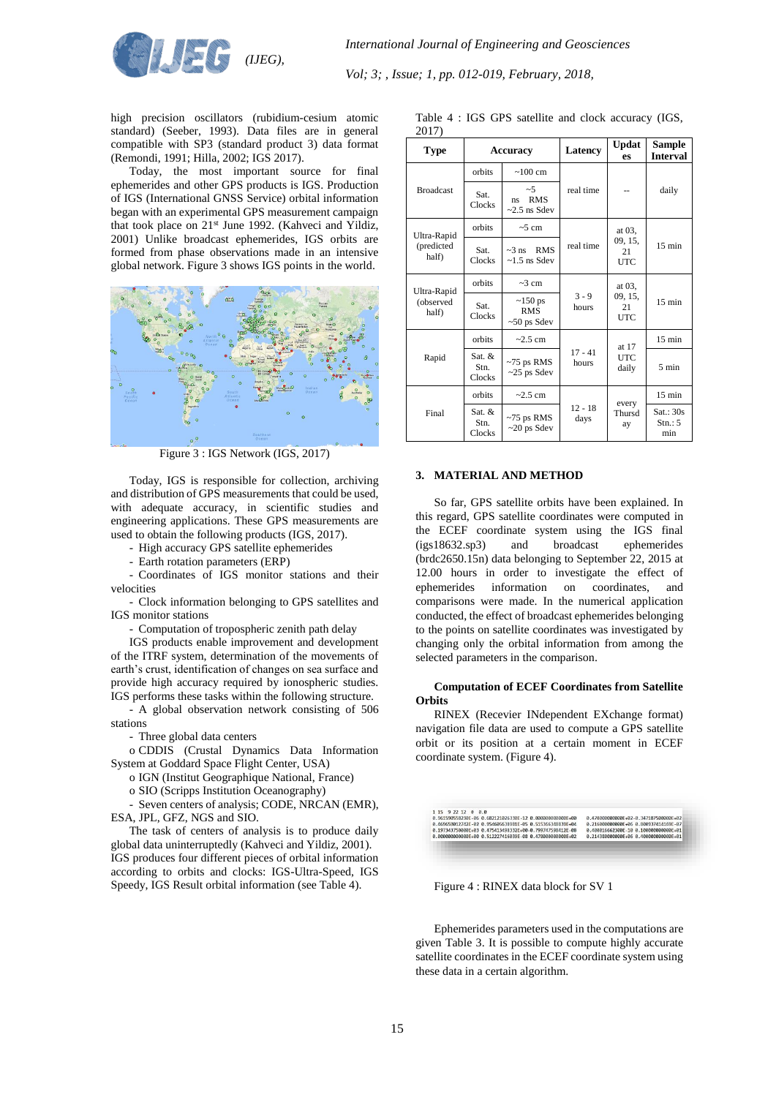

high precision oscillators (rubidium-cesium atomic standard) (Seeber, 1993). Data files are in general compatible with SP3 (standard product 3) data format (Remondi, 1991; Hilla, 2002; IGS 2017).

Today, the most important source for final ephemerides and other GPS products is IGS. Production of IGS (International GNSS Service) orbital information began with an experimental GPS measurement campaign that took place on 21<sup>st</sup> June 1992. (Kahveci and Yildiz, 2001) Unlike broadcast ephemerides, IGS orbits are formed from phase observations made in an intensive global network. Figure 3 shows IGS points in the world.



Figure 3 : IGS Network (IGS, 2017)

Today, IGS is responsible for collection, archiving and distribution of GPS measurements that could be used, with adequate accuracy, in scientific studies and engineering applications. These GPS measurements are used to obtain the following products (IGS, 2017).

- High accuracy GPS satellite ephemerides
- Earth rotation parameters (ERP)

- Coordinates of IGS monitor stations and their velocities

- Clock information belonging to GPS satellites and IGS monitor stations

- Computation of tropospheric zenith path delay

IGS products enable improvement and development of the ITRF system, determination of the movements of earth's crust, identification of changes on sea surface and provide high accuracy required by ionospheric studies. IGS performs these tasks within the following structure.

- A global observation network consisting of 506 stations

- Three global data centers

o CDDIS (Crustal Dynamics Data Information System at Goddard Space Flight Center, USA)

o IGN (Institut Geographique National, France)

o SIO (Scripps Institution Oceanography)

Seven centers of analysis; CODE, NRCAN (EMR), ESA, JPL, GFZ, NGS and SIO.

The task of centers of analysis is to produce daily global data uninterruptedly (Kahveci and Yildiz, 2001). IGS produces four different pieces of orbital information according to orbits and clocks: IGS-Ultra-Speed, IGS Speedy, IGS Result orbital information (see Table 4).

| 2017)                             |                            |                                                    |                    |                                       |                            |
|-----------------------------------|----------------------------|----------------------------------------------------|--------------------|---------------------------------------|----------------------------|
| <b>Type</b>                       | <b>Accuracy</b>            |                                                    | Latency            | <b>Updat</b><br>es                    | Sample<br><b>Interval</b>  |
| <b>Broadcast</b>                  | orbits                     | $\sim 100 \text{ cm}$                              |                    | real time                             | daily                      |
|                                   | Sat.<br>Clocks             | ~5<br><b>RMS</b><br>ns<br>$\approx$ 2.5 ns Sdev    |                    |                                       |                            |
| Ultra-Rapid<br>(predicted<br>half | orbits                     | $\sim$ 5 cm                                        |                    | at 03,                                |                            |
|                                   | Sat.<br>Clocks             | $\sim$ 3 ns RMS<br>$\sim$ 1.5 ns Sdev              | real time          | 09, 15,<br>21<br><b>UTC</b>           | $15 \text{ min}$           |
| Ultra-Rapid<br>(observed<br>half) | orbits                     | $\sim$ 3 cm                                        |                    | at 03,<br>09, 15,<br>21<br><b>UTC</b> | $15 \text{ min}$           |
|                                   | Sat.<br>Clocks             | $\sim$ 150 ps<br><b>RMS</b><br>$\sim 50$ ps Sdev   | $3 - 9$<br>hours   |                                       |                            |
| Rapid                             | orbits                     | $\approx$ 2.5 cm                                   |                    | at 17                                 | $15 \text{ min}$           |
|                                   | Sat. $&$<br>Stn.<br>Clocks | $~5$ ps RMS<br>$\sim$ 25 ps Sdev                   | $17 - 41$<br>hours | <b>UTC</b><br>daily                   | $5 \text{ min}$            |
| Final                             | orbits                     | $\sim$ 2.5 cm<br>$~15$ ps RMS<br>$\sim$ 20 ps Sdev |                    | every                                 | $15 \text{ min}$           |
|                                   | Sat. &<br>Stn.<br>Clocks   |                                                    | $12 - 18$<br>days  | Thursd<br>ay                          | Sat.: 30s<br>Stn: 5<br>min |

Table 4 : IGS GPS satellite and clock accuracy (IGS,

# **3. MATERIAL AND METHOD**

So far, GPS satellite orbits have been explained. In this regard, GPS satellite coordinates were computed in the ECEF coordinate system using the IGS final (igs18632.sp3) and broadcast ephemerides (brdc2650.15n) data belonging to September 22, 2015 at 12.00 hours in order to investigate the effect of ephemerides information on coordinates, and comparisons were made. In the numerical application conducted, the effect of broadcast ephemerides belonging to the points on satellite coordinates was investigated by changing only the orbital information from among the selected parameters in the comparison.

#### **Computation of ECEF Coordinates from Satellite Orbits**

RINEX (Recevier INdependent EXchange format) navigation file data are used to compute a GPS satellite orbit or its position at a certain moment in ECEF coordinate system. (Figure 4).



Figure 4 : RINEX data block for SV 1

Ephemerides parameters used in the computations are given Table 3. It is possible to compute highly accurate satellite coordinates in the ECEF coordinate system using these data in a certain algorithm.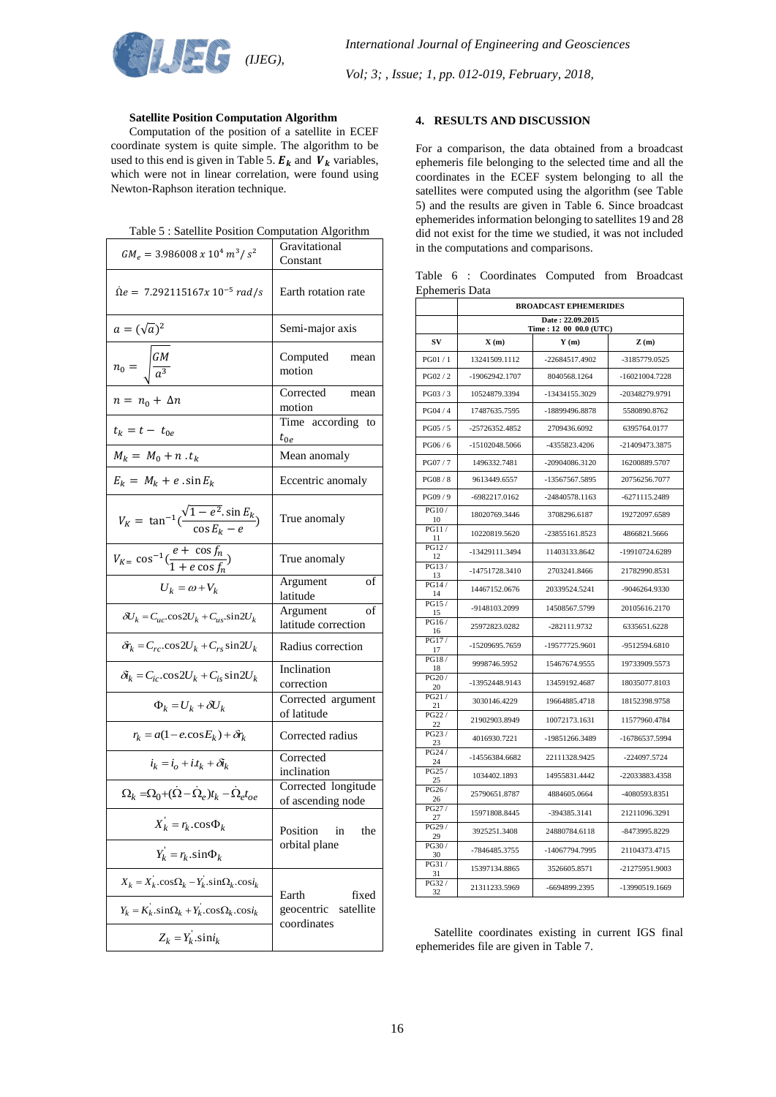

## **Satellite Position Computation Algorithm**

Computation of the position of a satellite in ECEF coordinate system is quite simple. The algorithm to be used to this end is given in Table 5.  $E_k$  and  $V_k$  variables, which were not in linear correlation, were found using Newton-Raphson iteration technique.

| $GM_e = 3.986008 \times 10^4 m^3/s^2$                                              | Gravitational<br>Constant                |
|------------------------------------------------------------------------------------|------------------------------------------|
| $\dot{\Omega}e = 7.292115167x 10^{-5} rad/s$                                       | Earth rotation rate                      |
| $a=(\sqrt{a})^2$                                                                   | Semi-major axis                          |
| $n_0 = \sqrt{\frac{GM}{a^3}}$                                                      | Computed<br>mean<br>motion               |
| $n = n_0 + \Delta n$                                                               | Corrected<br>mean<br>motion              |
| $t_k = t - t_{0e}$                                                                 | Time according to<br>$t_{0e}$            |
| $M_k = M_0 + n \cdot t_k$                                                          | Mean anomaly                             |
| $E_k = M_k + e \cdot \sin E_k$                                                     | Eccentric anomaly                        |
| $V_K = \tan^{-1}(\frac{\sqrt{1 - e^2} \cdot \sin E_k}{\cos E_k - e})$              | True anomaly                             |
| $V_{K=} \cos^{-1}(\frac{e + \cos f_n}{1 + e \cos f_n})$                            | True anomaly                             |
| $U_k = \omega + V_k$                                                               | Argument<br>οf<br>latitude               |
| $\delta U_k = C_{uc} \cos 2U_k + C_{us} \sin 2U_k$                                 | of<br>Argument<br>latitude correction    |
| $\delta r_k = C_{rc} \cos 2U_k + C_{rs} \sin 2U_k$                                 | Radius correction                        |
| $\delta_k = C_{ic} \cdot \cos 2U_k + C_{is} \sin 2U_k$                             | Inclination<br>correction                |
| $\Phi_k = U_k + \delta U_k$                                                        | Corrected argument<br>of latitude        |
| $r_k = a(1 - e \cos E_k) + \delta r_k$                                             | Corrected radius                         |
| $i_k = i_o + i t_k + \delta i_k$                                                   | Corrected<br>inclination                 |
| $\Omega_k = \Omega_0 + (\dot{\Omega} - \dot{\Omega}_e)t_k - \dot{\Omega}_e t_{oe}$ | Corrected longitude<br>of ascending node |
| $X_k = r_k \cdot \cos \Phi_k$                                                      | Position<br>1n<br>the                    |
| $Y_k = r_k \sin \Phi_k$                                                            | orbital plane                            |
| $X_k = X_k \cdot \cos\Omega_k - Y_k \cdot \sin\Omega_k \cdot \cos i_k$             | Earth<br>fixed                           |
| $Y_k = K_k \sin\Omega_k + Y_k \cos\Omega_k \cos i_k$                               | satellite<br>geocentric<br>coordinates   |
| $Z_k = Y_k \sin i_k$                                                               |                                          |

### **4. RESULTS AND DISCUSSION**

For a comparison, the data obtained from a broadcast ephemeris file belonging to the selected time and all the coordinates in the ECEF system belonging to all the satellites were computed using the algorithm (see Table 5) and the results are given in Table 6. Since broadcast ephemerides information belonging to satellites 19 and 28 did not exist for the time we studied, it was not included in the computations and comparisons.

Table 6 : Coordinates Computed from Broadcast Ephemeris Data

|              | <b>BROADCAST EPHEMERIDES</b>               |                |                  |  |
|--------------|--------------------------------------------|----------------|------------------|--|
|              | Date: 22.09.2015<br>Time: 12 00 00.0 (UTC) |                |                  |  |
| SV           | X(m)                                       | Y(m)           | Z(m)             |  |
| PG01/1       | 13241509.1112                              | -22684517.4902 | -3185779.0525    |  |
| PG02 / 2     | -19062942.1707                             | 8040568.1264   | $-16021004.7228$ |  |
| PG03/3       | 10524879.3394                              | -13434155.3029 | -20348279.9791   |  |
| PG04 / 4     | 17487635.7595                              | -18899496.8878 | 5580890.8762     |  |
| PG05 / 5     | -25726352.4852                             | 2709436.6092   | 6395764.0177     |  |
| PG06 / 6     | -15102048.5066                             | -4355823.4206  | -21409473.3875   |  |
| PG07/7       | 1496332.7481                               | -20904086.3120 | 16200889.5707    |  |
| PG08 / 8     | 9613449.6557                               | -13567567.5895 | 20756256.7077    |  |
| PG09 / 9     | -6982217.0162                              | -24840578.1163 | $-6271115.2489$  |  |
| PG10/<br>10  | 18020769.3446                              | 3708296.6187   | 19272097.6589    |  |
| PG11/<br>11  | 10220819.5620                              | -23855161.8523 | 4866821.5666     |  |
| PG12/<br>12  | -13429111.3494                             | 11403133.8642  | -19910724.6289   |  |
| PG13/<br>13  | -14751728.3410                             | 2703241.8466   | 21782990.8531    |  |
| PG14/<br>14  | 14467152.0676                              | 20339524.5241  | -9046264.9330    |  |
| PG15 /<br>15 | -9148103.2099                              | 14508567.5799  | 20105616.2170    |  |
| PG16/<br>16  | 25972823.0282                              | -282111.9732   | 6335651.6228     |  |
| PG17/<br>17  | -15209695.7659                             | -19577725.9601 | -9512594.6810    |  |
| PG18/<br>18  | 9998746.5952                               | 15467674.9555  | 19733909.5573    |  |
| PG20 /<br>20 | -13952448.9143                             | 13459192.4687  | 18035077.8103    |  |
| PG21/<br>21  | 3030146.4229                               | 19664885.4718  | 18152398.9758    |  |
| PG22 /<br>22 | 21902903.8949                              | 10072173.1631  | 11577960.4784    |  |
| PG23/<br>23  | 4016930.7221                               | -19851266.3489 | -16786537.5994   |  |
| PG24 /<br>24 | -14556384.6682                             | 22111328.9425  | -224097.5724     |  |
| PG25/<br>25  | 1034402.1893                               | 14955831.4442  | -22033883.4358   |  |
| PG26/<br>26  | 25790651.8787                              | 4884605.0664   | -4080593.8351    |  |
| PG27/<br>27  | 15971808.8445                              | -394385.3141   | 21211096.3291    |  |
| PG29 /<br>29 | 3925251.3408                               | 24880784.6118  | -8473995.8229    |  |
| PG30/<br>30  | -7846485.3755                              | -14067794.7995 | 21104373.4715    |  |
| PG31/<br>31  | 15397134.8865                              | 3526605.8571   | -21275951.9003   |  |
| PG32/<br>32  | 21311233.5969                              | -6694899.2395  | -13990519.1669   |  |

Satellite coordinates existing in current IGS final ephemerides file are given in Table 7.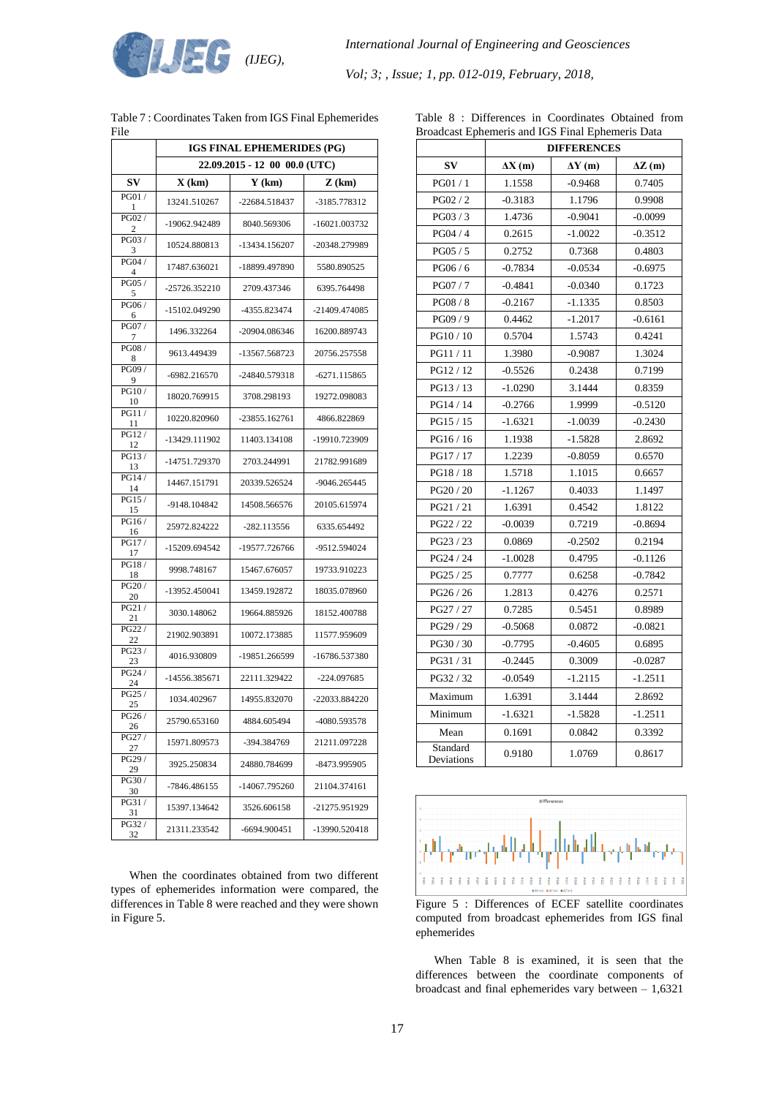

|                         | <b>IGS FINAL EPHEMERIDES (PG)</b> |               |                 |  |
|-------------------------|-----------------------------------|---------------|-----------------|--|
|                         | 22.09.2015 - 12 00 00.0 (UTC)     |               |                 |  |
| SV                      | X(km)                             | $Y$ (km)      | $Z$ (km)        |  |
| PG01/<br>-1             | 13241.510267                      | -22684.518437 | -3185.778312    |  |
| PG02 /<br>2             | -19062.942489                     | 8040.569306   | -16021.003732   |  |
| PG03/<br>3              | 10524.880813                      | -13434.156207 | -20348.279989   |  |
| PG04 /<br>4             | 17487.636021                      | -18899.497890 | 5580.890525     |  |
| PG05/<br>5              | -25726.352210                     | 2709.437346   | 6395.764498     |  |
| PG06/<br>6              | -15102.049290                     | -4355.823474  | -21409.474085   |  |
| PG07/<br>$\overline{7}$ | 1496.332264                       | -20904.086346 | 16200.889743    |  |
| PG08/<br>8              | 9613.449439                       | -13567.568723 | 20756.257558    |  |
| PG09 /<br>9             | -6982.216570                      | -24840.579318 | $-6271.115865$  |  |
| PG10/<br>10             | 18020.769915                      | 3708.298193   | 19272.098083    |  |
| PG11/<br>11             | 10220.820960                      | -23855.162761 | 4866.822869     |  |
| PG12/<br>12             | -13429.111902                     | 11403.134108  | -19910.723909   |  |
| PG13/<br>13             | -14751.729370                     | 2703.244991   | 21782.991689    |  |
| PG14/<br>14             | 14467.151791                      | 20339.526524  | -9046.265445    |  |
| PG15/<br>15             | -9148.104842                      | 14508.566576  | 20105.615974    |  |
| PG16/<br>16             | 25972.824222                      | -282.113556   | 6335.654492     |  |
| PG17/<br>17             | -15209.694542                     | -19577.726766 | -9512.594024    |  |
| PG18/<br>18             | 9998.748167                       | 15467.676057  | 19733.910223    |  |
| PG20/<br>20             | -13952.450041                     | 13459.192872  | 18035.078960    |  |
| PG21/<br>21             | 3030.148062                       | 19664.885926  | 18152.400788    |  |
| PG22 /<br>22            | 21902.903891                      | 10072.173885  | 11577.959609    |  |
| PG23/<br>23             | 4016.930809                       | -19851.266599 | -16786.537380   |  |
| PG24 /<br>24            | -14556.385671                     | 22111.329422  | -224.097685     |  |
| PG25/<br>25             | 1034.402967                       | 14955.832070  | $-22033.884220$ |  |
| PG26/<br>26             | 25790.653160                      | 4884.605494   | -4080.593578    |  |
| PG27/<br>27             | 15971.809573                      | -394.384769   | 21211.097228    |  |
| PG29 /<br>29            | 3925.250834                       | 24880.784699  | -8473.995905    |  |
| PG30/<br>30             | -7846.486155                      | -14067.795260 | 21104.374161    |  |
| PG31/<br>31             | 15397.134642                      | 3526.606158   | -21275.951929   |  |
| PG32 /<br>32            | 21311.233542                      | -6694.900451  | -13990.520418   |  |

| Table 7: Coordinates Taken from IGS Final Ephemerides |  |
|-------------------------------------------------------|--|
| File                                                  |  |

When the coordinates obtained from two different types of ephemerides information were compared, the differences in Table 8 were reached and they were shown in Figure 5.

|  |  | Table 8 : Differences in Coordinates Obtained from |  |
|--|--|----------------------------------------------------|--|
|  |  | Broadcast Ephemeris and IGS Final Ephemeris Data   |  |

|                        | Broadcast Ephemeris and IGS Final Ephemeris Data<br><b>DIFFERENCES</b> |               |               |  |  |  |
|------------------------|------------------------------------------------------------------------|---------------|---------------|--|--|--|
| $S_{\bf V}$            | $\Delta X(m)$                                                          | $\Delta Y(m)$ | $\Delta Z(m)$ |  |  |  |
| PG01 / 1               | 1.1558                                                                 | $-0.9468$     | 0.7405        |  |  |  |
| PG02 / 2               | $-0.3183$                                                              | 1.1796        | 0.9908        |  |  |  |
| PG03/3                 | 1.4736                                                                 | $-0.9041$     | $-0.0099$     |  |  |  |
| PG04 / 4               | 0.2615                                                                 | $-1.0022$     | $-0.3512$     |  |  |  |
| PG05 / 5               | 0.2752                                                                 | 0.7368        | 0.4803        |  |  |  |
| PG06 / 6               | $-0.7834$                                                              | $-0.0534$     | $-0.6975$     |  |  |  |
| PG07 / 7               | $-0.4841$                                                              | $-0.0340$     | 0.1723        |  |  |  |
| PG08 / 8               | $-0.2167$                                                              | $-1.1335$     | 0.8503        |  |  |  |
| PG09 / 9               | 0.4462                                                                 | $-1.2017$     | $-0.6161$     |  |  |  |
| PG10 / 10              | 0.5704                                                                 | 1.5743        | 0.4241        |  |  |  |
| PG11/11                | 1.3980                                                                 | $-0.9087$     | 1.3024        |  |  |  |
| PG12 / 12              | $-0.5526$                                                              | 0.2438        | 0.7199        |  |  |  |
| PG13 / 13              | $-1.0290$                                                              | 3.1444        | 0.8359        |  |  |  |
| PG14 / 14              | $-0.2766$                                                              | 1.9999        | $-0.5120$     |  |  |  |
| PG15 / 15              | $-1.6321$                                                              | -1.0039       | $-0.2430$     |  |  |  |
| PG16 / 16              | 1.1938                                                                 | $-1.5828$     | 2.8692        |  |  |  |
| PG17 / 17              | 1.2239                                                                 | $-0.8059$     | 0.6570        |  |  |  |
| PG18 / 18              | 1.5718                                                                 | 1.1015        | 0.6657        |  |  |  |
| PG20 / 20              | $-1.1267$                                                              | 0.4033        | 1.1497        |  |  |  |
| PG21 / 21              | 1.6391                                                                 | 0.4542        | 1.8122        |  |  |  |
| PG22 / 22              | $-0.0039$                                                              | 0.7219        | $-0.8694$     |  |  |  |
| PG23 / 23              | 0.0869                                                                 | $-0.2502$     | 0.2194        |  |  |  |
| PG24 / 24              | $-1.0028$                                                              | 0.4795        | $-0.1126$     |  |  |  |
| PG25 / 25              | 0.7777                                                                 | 0.6258        | $-0.7842$     |  |  |  |
| PG26 / 26              | 1.2813                                                                 | 0.4276        | 0.2571        |  |  |  |
| PG27 / 27              | 0.7285                                                                 | 0.5451        | 0.8989        |  |  |  |
| PG29 / 29              | $-0.5068$                                                              | 0.0872        | $-0.0821$     |  |  |  |
| PG30 / 30              | $-0.7795$                                                              | $-0.4605$     | 0.6895        |  |  |  |
| PG31 / 31              | $-0.2445$                                                              | 0.3009        | $-0.0287$     |  |  |  |
| PG32 / 32              | $-0.0549$                                                              | $-1.2115$     | $-1.2511$     |  |  |  |
| Maximum                | 1.6391                                                                 | 3.1444        | 2.8692        |  |  |  |
| Minimum                | $-1.6321$                                                              | $-1.5828$     | $-1.2511$     |  |  |  |
| Mean                   | 0.1691                                                                 | 0.0842        | 0.3392        |  |  |  |
| Standard<br>Deviations | 0.9180                                                                 | 1.0769        | 0.8617        |  |  |  |



Figure 5 : Differences of ECEF satellite coordinates computed from broadcast ephemerides from IGS final ephemerides

When Table 8 is examined, it is seen that the differences between the coordinate components of broadcast and final ephemerides vary between – 1,6321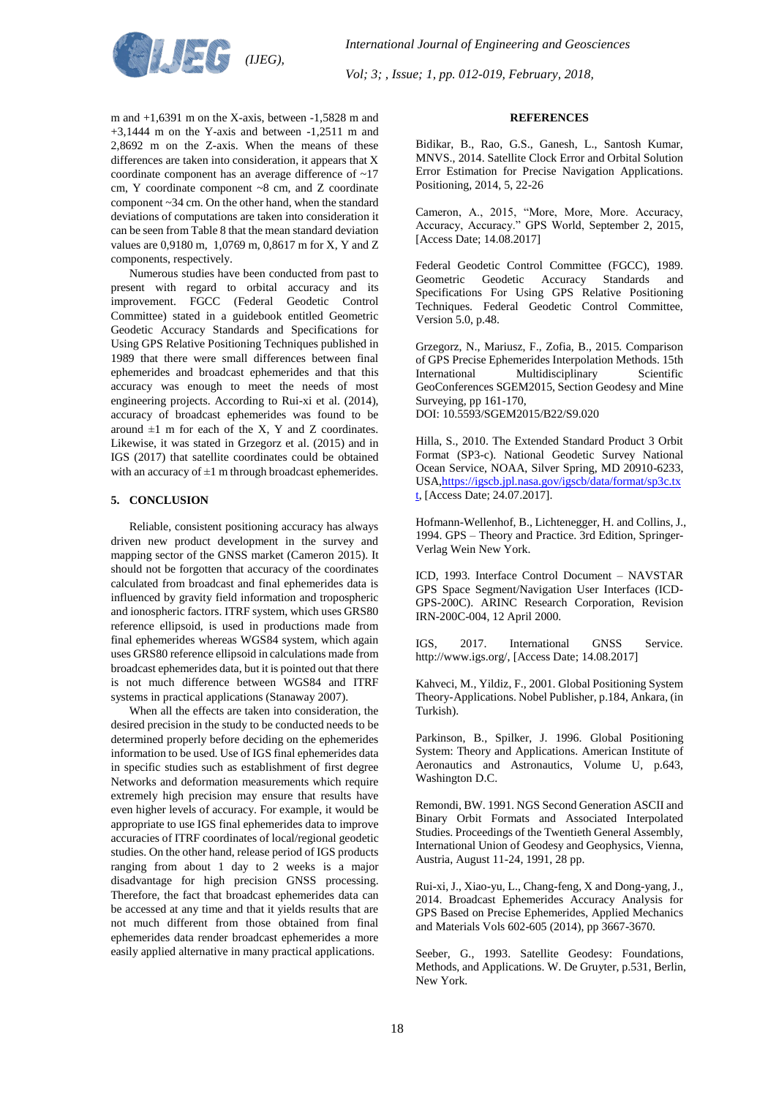

### **REFERENCES**

Bidikar, B., Rao, G.S., Ganesh, L., Santosh Kumar, MNVS., 2014. Satellite Clock Error and Orbital Solution Error Estimation for Precise Navigation Applications. Positioning, 2014, 5, 22-26

Cameron, A., 2015, "More, More, More. Accuracy, Accuracy, Accuracy." GPS World, September 2, 2015, [Access Date; 14.08.2017]

Federal Geodetic Control Committee (FGCC), 1989. Geometric Geodetic Accuracy Standards and Specifications For Using GPS Relative Positioning Techniques. Federal Geodetic Control Committee, Version 5.0, p.48.

Grzegorz, N., Mariusz, F., Zofia, B., 2015. Comparison of GPS Precise Ephemerides Interpolation Methods. 15th International Multidisciplinary Scientific GeoConferences SGEM2015, Section Geodesy and Mine Surveying, pp 161-170, DOI: 10.5593/SGEM2015/B22/S9.020

Hilla, S., 2010. The Extended Standard Product 3 Orbit Format (SP3-c). National Geodetic Survey National Ocean Service, NOAA, Silver Spring, MD 20910-6233, US[A,https://igscb.jpl.nasa.gov/igscb/data/format/sp3c.tx](https://igscb.jpl.nasa.gov/igscb/data/format/sp3c.txt) [t,](https://igscb.jpl.nasa.gov/igscb/data/format/sp3c.txt) [Access Date; 24.07.2017].

Hofmann-Wellenhof, B., Lichtenegger, H. and Collins, J., 1994. GPS – Theory and Practice. 3rd Edition, Springer-Verlag Wein New York.

ICD, 1993. Interface Control Document – NAVSTAR GPS Space Segment/Navigation User Interfaces (ICD-GPS-200C). ARINC Research Corporation, Revision IRN-200C-004, 12 April 2000.

IGS, 2017. International GNSS Service. http://www.igs.org/, [Access Date; 14.08.2017]

Kahveci, M., Yildiz, F., 2001. Global Positioning System Theory-Applications. Nobel Publisher, p.184, Ankara, (in Turkish).

Parkinson, B., Spilker, J. 1996. Global Positioning System: Theory and Applications. American Institute of Aeronautics and Astronautics, Volume U, p.643, Washington D.C.

Remondi, BW. 1991. NGS Second Generation ASCII and Binary Orbit Formats and Associated Interpolated Studies. Proceedings of the Twentieth General Assembly, International Union of Geodesy and Geophysics, Vienna, Austria, August 11-24, 1991, 28 pp.

Rui-xi, J., Xiao-yu, L., Chang-feng, X and Dong-yang, J., 2014. Broadcast Ephemerides Accuracy Analysis for GPS Based on Precise Ephemerides, Applied Mechanics and Materials Vols 602-605 (2014), pp 3667-3670.

Seeber, G., 1993. Satellite Geodesy: Foundations, Methods, and Applications. W. De Gruyter, p.531, Berlin, New York.

m and +1,6391 m on the X-axis, between -1,5828 m and +3,1444 m on the Y-axis and between -1,2511 m and 2,8692 m on the Z-axis. When the means of these differences are taken into consideration, it appears that X coordinate component has an average difference of ~17 cm, Y coordinate component ~8 cm, and Z coordinate component ~34 cm. On the other hand, when the standard deviations of computations are taken into consideration it can be seen from Table 8 that the mean standard deviation values are 0,9180 m, 1,0769 m, 0,8617 m for X, Y and Z components, respectively.

Numerous studies have been conducted from past to present with regard to orbital accuracy and its improvement. FGCC (Federal Geodetic Control Committee) stated in a guidebook entitled Geometric Geodetic Accuracy Standards and Specifications for Using GPS Relative Positioning Techniques published in 1989 that there were small differences between final ephemerides and broadcast ephemerides and that this accuracy was enough to meet the needs of most engineering projects. According to Rui-xi et al. (2014), accuracy of broadcast ephemerides was found to be around  $\pm 1$  m for each of the X, Y and Z coordinates. Likewise, it was stated in Grzegorz et al. (2015) and in IGS (2017) that satellite coordinates could be obtained with an accuracy of  $\pm 1$  m through broadcast ephemerides.

### **5. CONCLUSION**

Reliable, consistent positioning accuracy has always driven new product development in the survey and mapping sector of the GNSS market (Cameron 2015). It should not be forgotten that accuracy of the coordinates calculated from broadcast and final ephemerides data is influenced by gravity field information and tropospheric and ionospheric factors. ITRF system, which uses GRS80 reference ellipsoid, is used in productions made from final ephemerides whereas WGS84 system, which again uses GRS80 reference ellipsoid in calculations made from broadcast ephemerides data, but it is pointed out that there is not much difference between WGS84 and ITRF systems in practical applications (Stanaway 2007).

When all the effects are taken into consideration, the desired precision in the study to be conducted needs to be determined properly before deciding on the ephemerides information to be used. Use of IGS final ephemerides data in specific studies such as establishment of first degree Networks and deformation measurements which require extremely high precision may ensure that results have even higher levels of accuracy. For example, it would be appropriate to use IGS final ephemerides data to improve accuracies of ITRF coordinates of local/regional geodetic studies. On the other hand, release period of IGS products ranging from about 1 day to 2 weeks is a major disadvantage for high precision GNSS processing. Therefore, the fact that broadcast ephemerides data can be accessed at any time and that it yields results that are not much different from those obtained from final ephemerides data render broadcast ephemerides a more easily applied alternative in many practical applications.